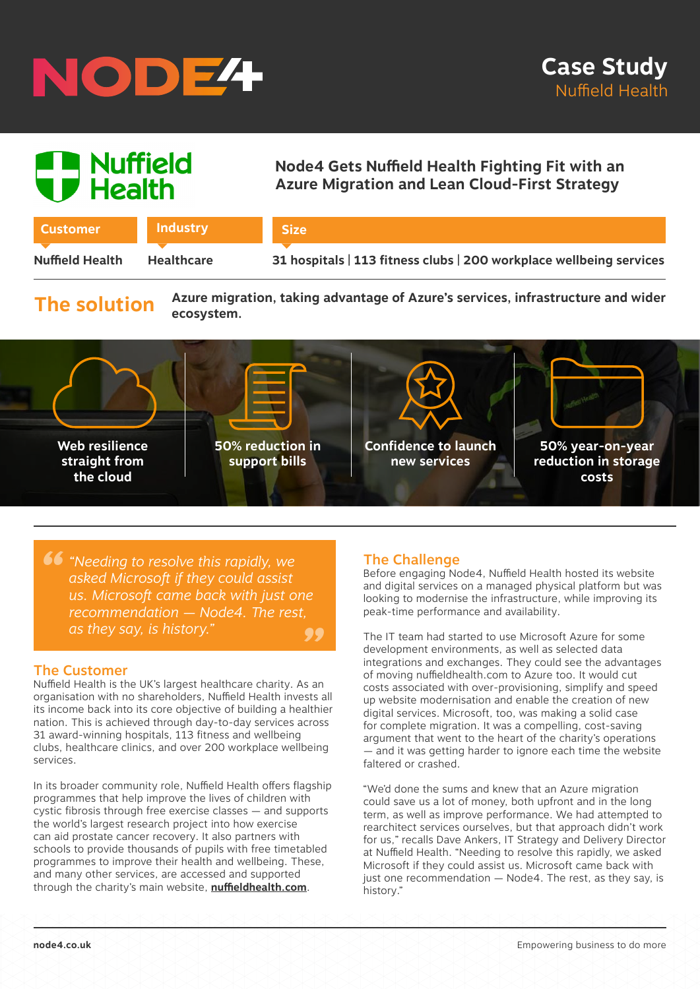# NODE<sup>4</sup>

# | Nuffield<br>*|* Health

## **Node4 Gets Nuffield Health Fighting Fit with an Azure Migration and Lean Cloud-First Strategy**

| <b>Customer</b>        | <b>Industry</b>   |  |
|------------------------|-------------------|--|
|                        |                   |  |
| <b>Nuffield Health</b> | <b>Healthcare</b> |  |

**Nuffield Health 31 hospitals | 113 fitness clubs | 200 workplace wellbeing services**

# **The solution**

**Azure migration, taking advantage of Azure's services, infrastructure and wider ecosystem.**



**Size**

**66** "Needing to resolve this rapidly, we asked Microsoft if they could assist<br>us Microsoft came back with just o *" asked Microsoft if they could assist us. Microsoft came back with just one recommendation — Node4. The rest, as they say, is history."*

## The Customer

Nuffield Health is the UK's largest healthcare charity. As an organisation with no shareholders, Nuffield Health invests all its income back into its core objective of building a healthier nation. This is achieved through day-to-day services across 31 award-winning hospitals, 113 fitness and wellbeing clubs, healthcare clinics, and over 200 workplace wellbeing services.

In its broader community role, Nuffield Health offers flagship programmes that help improve the lives of children with cystic fibrosis through free exercise classes — and supports the world's largest research project into how exercise can aid prostate cancer recovery. It also partners with schools to provide thousands of pupils with free timetabled programmes to improve their health and wellbeing. These, and many other services, are accessed and supported through the charity's main website, **[nuffieldhealth.com](http://www.nuffieldhealth.com)**.

### The Challenge

Before engaging Node4, Nuffield Health hosted its website and digital services on a managed physical platform but was looking to modernise the infrastructure, while improving its peak-time performance and availability.

The IT team had started to use Microsoft Azure for some development environments, as well as selected data integrations and exchanges. They could see the advantages of moving nuffieldhealth.com to Azure too. It would cut costs associated with over-provisioning, simplify and speed up website modernisation and enable the creation of new digital services. Microsoft, too, was making a solid case for complete migration. It was a compelling, cost-saving argument that went to the heart of the charity's operations — and it was getting harder to ignore each time the website faltered or crashed.

"We'd done the sums and knew that an Azure migration could save us a lot of money, both upfront and in the long term, as well as improve performance. We had attempted to rearchitect services ourselves, but that approach didn't work for us," recalls Dave Ankers, IT Strategy and Delivery Director at Nuffield Health. "Needing to resolve this rapidly, we asked Microsoft if they could assist us. Microsoft came back with just one recommendation - Node4. The rest, as they say, is history."